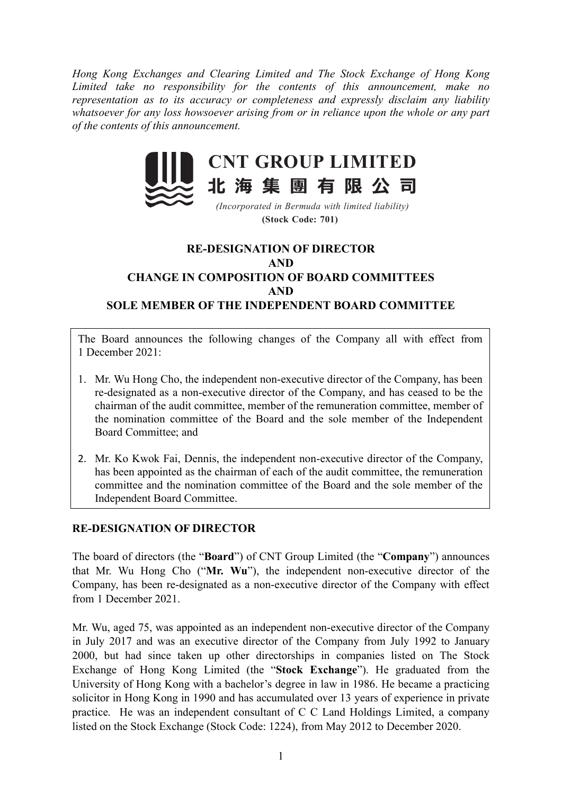Hong Kong Exchanges and Clearing Limited and The Stock Exchange of Hong Kong Limited take no responsibility for the contents of this announcement, make no representation as to its accuracy or completeness and expressly disclaim any liability whatsoever for any loss howsoever arising from or in reliance upon the whole or any part of the contents of this announcement.



(Stock Code: 701)

## RE-DESIGNATION OF DIRECTOR AND CHANGE IN COMPOSITION OF BOARD COMMITTEES AND SOLE MEMBER OF THE INDEPENDENT BOARD COMMITTEE

The Board announces the following changes of the Company all with effect from 1 December 2021:

- 1. Mr. Wu Hong Cho, the independent non-executive director of the Company, has been re-designated as a non-executive director of the Company, and has ceased to be the chairman of the audit committee, member of the remuneration committee, member of the nomination committee of the Board and the sole member of the Independent Board Committee; and
- 2. Mr. Ko Kwok Fai, Dennis, the independent non-executive director of the Company, has been appointed as the chairman of each of the audit committee, the remuneration committee and the nomination committee of the Board and the sole member of the Independent Board Committee.

## RE-DESIGNATION OF DIRECTOR

The board of directors (the "Board") of CNT Group Limited (the "Company") announces that Mr. Wu Hong Cho ("Mr. Wu"), the independent non-executive director of the Company, has been re-designated as a non-executive director of the Company with effect from 1 December 2021.

Mr. Wu, aged 75, was appointed as an independent non-executive director of the Company in July 2017 and was an executive director of the Company from July 1992 to January 2000, but had since taken up other directorships in companies listed on The Stock Exchange of Hong Kong Limited (the "Stock Exchange"). He graduated from the University of Hong Kong with a bachelor's degree in law in 1986. He became a practicing solicitor in Hong Kong in 1990 and has accumulated over 13 years of experience in private practice. He was an independent consultant of C C Land Holdings Limited, a company listed on the Stock Exchange (Stock Code: 1224), from May 2012 to December 2020.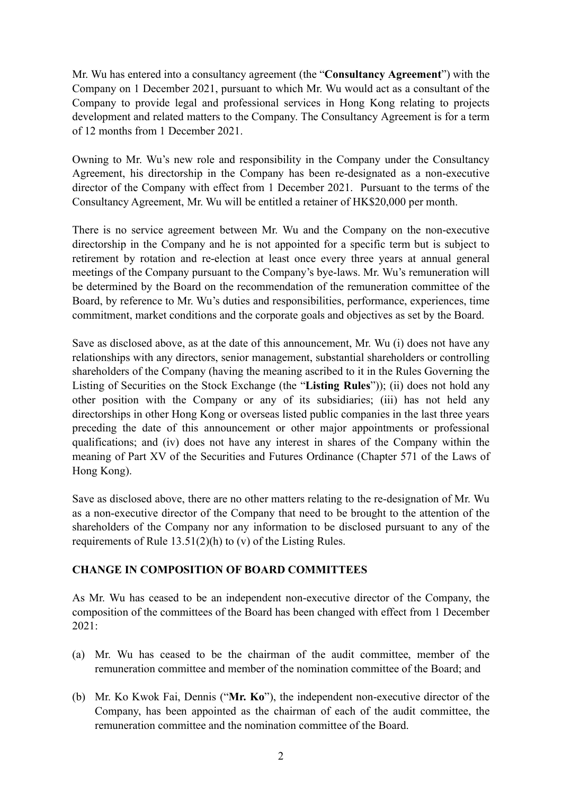Mr. Wu has entered into a consultancy agreement (the "Consultancy Agreement") with the Company on 1 December 2021, pursuant to which Mr. Wu would act as a consultant of the Company to provide legal and professional services in Hong Kong relating to projects development and related matters to the Company. The Consultancy Agreement is for a term of 12 months from 1 December 2021.

Owning to Mr. Wu's new role and responsibility in the Company under the Consultancy Agreement, his directorship in the Company has been re-designated as a non-executive director of the Company with effect from 1 December 2021. Pursuant to the terms of the Consultancy Agreement, Mr. Wu will be entitled a retainer of HK\$20,000 per month.

There is no service agreement between Mr. Wu and the Company on the non-executive directorship in the Company and he is not appointed for a specific term but is subject to retirement by rotation and re-election at least once every three years at annual general meetings of the Company pursuant to the Company's bye-laws. Mr. Wu's remuneration will be determined by the Board on the recommendation of the remuneration committee of the Board, by reference to Mr. Wu's duties and responsibilities, performance, experiences, time commitment, market conditions and the corporate goals and objectives as set by the Board.

Save as disclosed above, as at the date of this announcement, Mr. Wu (i) does not have any relationships with any directors, senior management, substantial shareholders or controlling shareholders of the Company (having the meaning ascribed to it in the Rules Governing the Listing of Securities on the Stock Exchange (the "Listing Rules")); (ii) does not hold any other position with the Company or any of its subsidiaries; (iii) has not held any directorships in other Hong Kong or overseas listed public companies in the last three years preceding the date of this announcement or other major appointments or professional qualifications; and (iv) does not have any interest in shares of the Company within the meaning of Part XV of the Securities and Futures Ordinance (Chapter 571 of the Laws of Hong Kong).

Save as disclosed above, there are no other matters relating to the re-designation of Mr. Wu as a non-executive director of the Company that need to be brought to the attention of the shareholders of the Company nor any information to be disclosed pursuant to any of the requirements of Rule 13.51(2)(h) to (v) of the Listing Rules.

## CHANGE IN COMPOSITION OF BOARD COMMITTEES

As Mr. Wu has ceased to be an independent non-executive director of the Company, the composition of the committees of the Board has been changed with effect from 1 December 2021:

- (a) Mr. Wu has ceased to be the chairman of the audit committee, member of the remuneration committee and member of the nomination committee of the Board; and
- (b) Mr. Ko Kwok Fai, Dennis ("Mr. Ko"), the independent non-executive director of the Company, has been appointed as the chairman of each of the audit committee, the remuneration committee and the nomination committee of the Board.